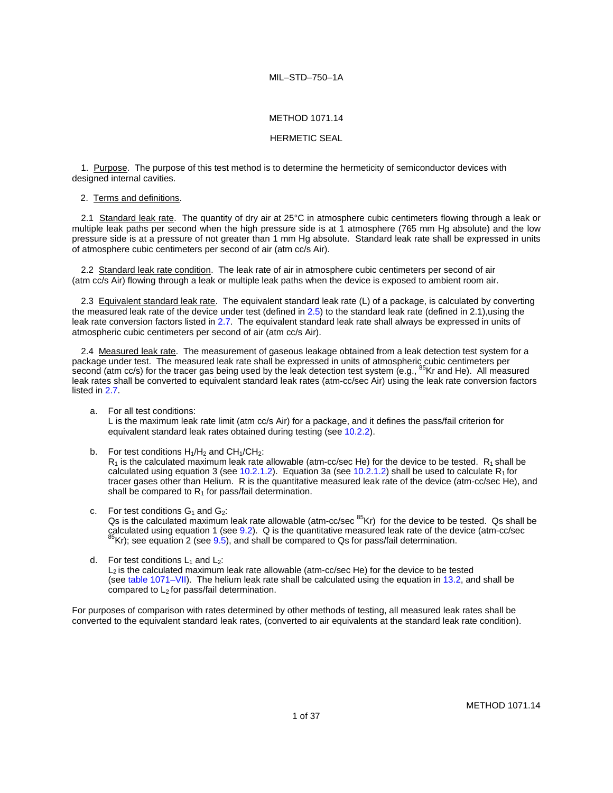# METHOD 1071.14

# HERMETIC SEAL

1. Purpose. The purpose of this test method is to determine the hermeticity of semiconductor devices with designed internal cavities.

#### 2. Terms and definitions.

2.1 Standard leak rate. The quantity of dry air at 25°C in atmosphere cubic centimeters flowing through a leak or multiple leak paths per second when the high pressure side is at 1 atmosphere (765 mm Hg absolute) and the low pressure side is at a pressure of not greater than 1 mm Hg absolute. Standard leak rate shall be expressed in units of atmosphere cubic centimeters per second of air (atm cc/s Air).

2.2 Standard leak rate condition. The leak rate of air in atmosphere cubic centimeters per second of air (atm cc/s Air) flowing through a leak or multiple leak paths when the device is exposed to ambient room air.

2.3 Equivalent standard leak rate. The equivalent standard leak rate (L) of a package, is calculated by converting the measured leak rate of the device under test (defined in 2.5) to the standard leak rate (defined in 2.1),using the leak rate conversion factors listed in 2.7. The equivalent standard leak rate shall always be expressed in units of atmospheric cubic centimeters per second of air (atm cc/s Air).

2.4 Measured leak rate. The measurement of gaseous leakage obtained from a leak detection test system for a package under test. The measured leak rate shall be expressed in units of atmospheric cubic centimeters per<br>second (atm cc/s) for the tracer gas being used by the leak detection test system (e.g., <sup>85</sup>Kr and He). All mea leak rates shall be converted to equivalent standard leak rates (atm-cc/sec Air) using the leak rate conversion factors listed in 2.7.

a. For all test conditions: L is the maximum leak rate limit (atm cc/s Air) for a package, and it defines the pass/fail criterion for equivalent standard leak rates obtained during testing (see 10.2.2).

b. For test conditions  $H_1/H_2$  and  $CH_1/CH_2$ :  $R_1$  is the calculated maximum leak rate allowable (atm-cc/sec He) for the device to be tested.  $R_1$  shall be calculated using equation 3 (see 10.2.1.2). Equation 3a (see 10.2.1.2) shall be used to calculate  $R_1$  for tracer gases other than Helium. R is the quantitative measured leak rate of the device (atm-cc/sec He), and shall be compared to  $R_1$  for pass/fail determination.

- c. For test conditions  $G_1$  and  $G_2$ : Qs is the calculated maximum leak rate allowable (atm-cc/sec <sup>85</sup>Kr) for the device to be tested. Qs shall be calculated using equation 1 (see  $9.2$ ). Q is the quantitative measured leak rate of the device (atm-cc/sec  $^{85}$ Kr); see equation 2 (see  $9.5$ ), and shall be compared to Qs for pass/fail determination.
- d. For test conditions  $L_1$  and  $L_2$ :  $L_2$  is the calculated maximum leak rate allowable (atm-cc/sec He) for the device to be tested (see table 1071–VII). The helium leak rate shall be calculated using the equation in 13.2, and shall be compared to L<sub>2</sub> for pass/fail determination.

For purposes of comparison with rates determined by other methods of testing, all measured leak rates shall be converted to the equivalent standard leak rates, (converted to air equivalents at the standard leak rate condition).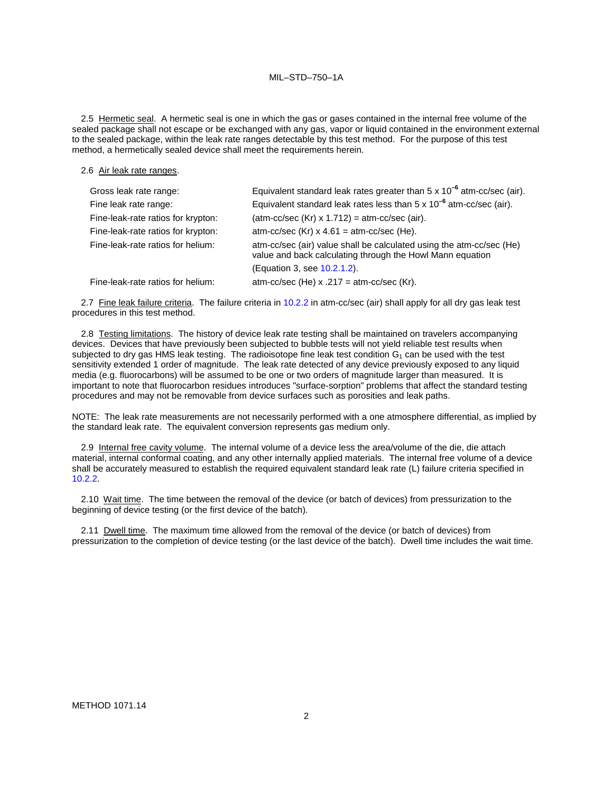2.5 Hermetic seal. A hermetic seal is one in which the gas or gases contained in the internal free volume of the sealed package shall not escape or be exchanged with any gas, vapor or liquid contained in the environment external to the sealed package, within the leak rate ranges detectable by this test method. For the purpose of this test method, a hermetically sealed device shall meet the requirements herein.

#### 2.6 Air leak rate ranges.

| Gross leak rate range:             | Equivalent standard leak rates greater than $5 \times 10^{-6}$ atm-cc/sec (air).                                                  |
|------------------------------------|-----------------------------------------------------------------------------------------------------------------------------------|
| Fine leak rate range:              | Equivalent standard leak rates less than $5 \times 10^{-6}$ atm-cc/sec (air).                                                     |
| Fine-leak-rate ratios for krypton: | $(atm-cc/sec (Kr) \times 1.712) = atm-cc/sec (air).$                                                                              |
| Fine-leak-rate ratios for krypton: | atm-cc/sec $(Kr)$ x 4.61 = atm-cc/sec $(He)$ .                                                                                    |
| Fine-leak-rate ratios for helium:  | atm-cc/sec (air) value shall be calculated using the atm-cc/sec (He)<br>value and back calculating through the Howl Mann equation |
|                                    | (Equation 3, see 10.2.1.2).                                                                                                       |
| Fine-leak-rate ratios for helium:  | atm-cc/sec (He) $x$ .217 = atm-cc/sec (Kr).                                                                                       |

2.7 Fine leak failure criteria. The failure criteria in 10.2.2 in atm-cc/sec (air) shall apply for all dry gas leak test procedures in this test method.

2.8 Testing limitations. The history of device leak rate testing shall be maintained on travelers accompanying devices. Devices that have previously been subjected to bubble tests will not yield reliable test results when subjected to dry gas HMS leak testing. The radioisotope fine leak test condition  $G_1$  can be used with the test sensitivity extended 1 order of magnitude. The leak rate detected of any device previously exposed to any liquid media (e.g. fluorocarbons) will be assumed to be one or two orders of magnitude larger than measured. It is important to note that fluorocarbon residues introduces "surface-sorption" problems that affect the standard testing procedures and may not be removable from device surfaces such as porosities and leak paths.

NOTE: The leak rate measurements are not necessarily performed with a one atmosphere differential, as implied by the standard leak rate. The equivalent conversion represents gas medium only.

2.9 Internal free cavity volume. The internal volume of a device less the area/volume of the die, die attach material, internal conformal coating, and any other internally applied materials. The internal free volume of a device shall be accurately measured to establish the required equivalent standard leak rate (L) failure criteria specified in 10.2.2.

2.10 Wait time. The time between the removal of the device (or batch of devices) from pressurization to the beginning of device testing (or the first device of the batch).

2.11 Dwell time. The maximum time allowed from the removal of the device (or batch of devices) from pressurization to the completion of device testing (or the last device of the batch). Dwell time includes the wait time.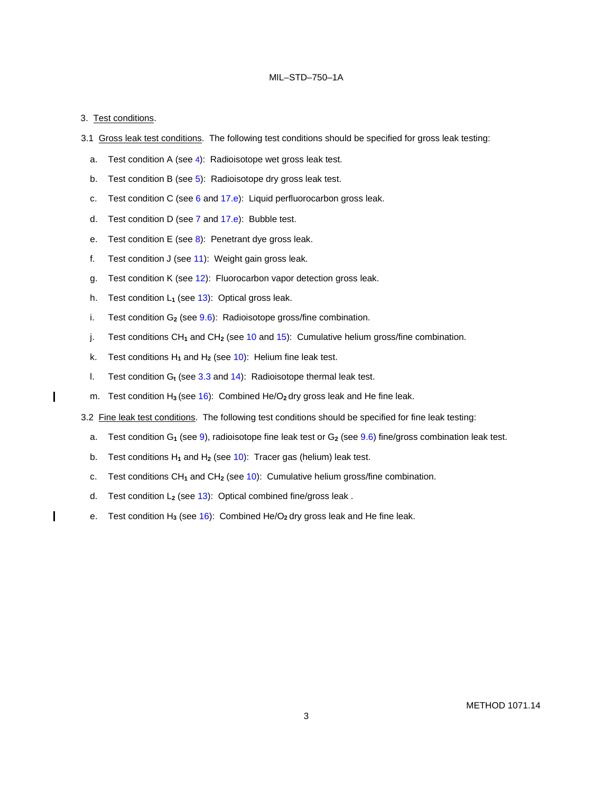### 3. Test conditions.

 $\mathbf{I}$ 

 $\mathbf l$ 

- 3.1 Gross leak test conditions. The following test conditions should be specified for gross leak testing:
	- a. Test condition A (see 4): Radioisotope wet gross leak test.
	- b. Test condition B (see 5): Radioisotope dry gross leak test.
	- c. Test condition C (see 6 and 17.e): Liquid perfluorocarbon gross leak.
	- d. Test condition D (see  $7$  and  $17.e$ ): Bubble test.
	- e. Test condition  $E$  (see  $8$ ): Penetrant dye gross leak.
	- f. Test condition J (see 11): Weight gain gross leak.
	- g. Test condition K (see 12): Fluorocarbon vapor detection gross leak.
	- h. Test condition L**<sup>1</sup>** (see 13): Optical gross leak.
	- i. Test condition G**<sup>2</sup>** (see 9.6): Radioisotope gross/fine combination.
	- j. Test conditions CH**<sup>1</sup>** and CH**<sup>2</sup>** (see 10 and 15): Cumulative helium gross/fine combination.
	- k. Test conditions  $H_1$  and  $H_2$  (see 10): Helium fine leak test.
	- l. Test condition G**<sup>t</sup>** (see 3.3 and 14): Radioisotope thermal leak test.
- m. Test condition H<sub>3</sub> (see 16): Combined He/O<sub>2</sub> dry gross leak and He fine leak.
- 3.2 Fine leak test conditions. The following test conditions should be specified for fine leak testing:
	- a. Test condition G**<sup>1</sup>** (see 9), radioisotope fine leak test or G**<sup>2</sup>** (see 9.6) fine/gross combination leak test.
	- b. Test conditions H**<sup>1</sup>** and H**<sup>2</sup>** (see 10): Tracer gas (helium) leak test.
	- c. Test conditions CH**<sup>1</sup>** and CH**<sup>2</sup>** (see 10): Cumulative helium gross/fine combination.
	- d. Test condition L**<sup>2</sup>** (see 13): Optical combined fine/gross leak .
- e. Test condition H**<sup>3</sup>** (see 16): Combined He/O**<sup>2</sup>** dry gross leak and He fine leak.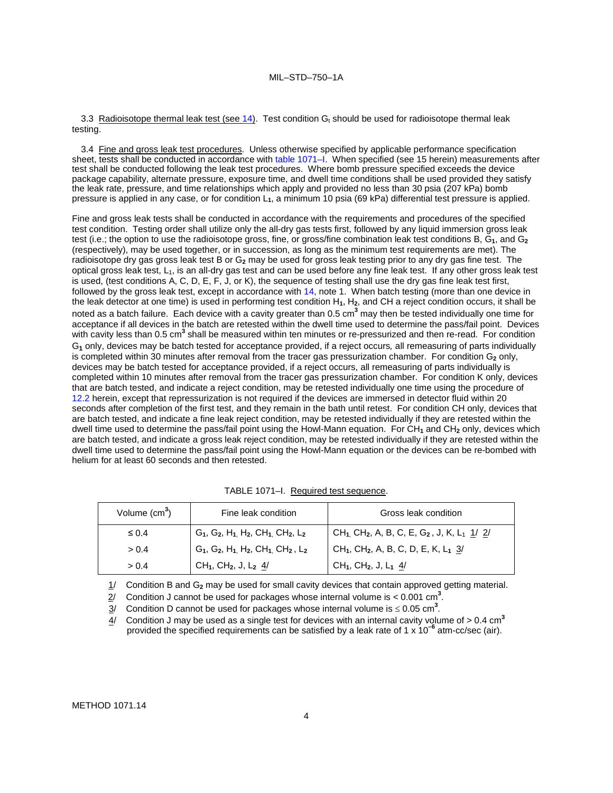3.3 Radioisotope thermal leak test (see 14). Test condition  $G_t$  should be used for radioisotope thermal leak testing.

3.4 Fine and gross leak test procedures. Unless otherwise specified by applicable performance specification sheet, tests shall be conducted in accordance with table 1071–I. When specified (see 15 herein) measurements after test shall be conducted following the leak test procedures. Where bomb pressure specified exceeds the device package capability, alternate pressure, exposure time, and dwell time conditions shall be used provided they satisfy the leak rate, pressure, and time relationships which apply and provided no less than 30 psia (207 kPa) bomb pressure is applied in any case, or for condition L**1**, a minimum 10 psia (69 kPa) differential test pressure is applied.

Fine and gross leak tests shall be conducted in accordance with the requirements and procedures of the specified test condition. Testing order shall utilize only the all-dry gas tests first, followed by any liquid immersion gross leak test (i.e.; the option to use the radioisotope gross, fine, or gross/fine combination leak test conditions B, G**1**, and G**<sup>2</sup>** (respectively), may be used together, or in succession, as long as the minimum test requirements are met). The radioisotope dry gas gross leak test B or G**<sup>2</sup>** may be used for gross leak testing prior to any dry gas fine test. The optical gross leak test,  $L_1$ , is an all-dry gas test and can be used before any fine leak test. If any other gross leak test is used, (test conditions A, C, D, E, F, J, or K), the sequence of testing shall use the dry gas fine leak test first, followed by the gross leak test, except in accordance with 14, note 1. When batch testing (more than one device in the leak detector at one time) is used in performing test condition H**1**, H**2**, and CH a reject condition occurs, it shall be noted as a batch failure. Each device with a cavity greater than 0.5 cm**<sup>3</sup>** may then be tested individually one time for acceptance if all devices in the batch are retested within the dwell time used to determine the pass/fail point. Devices with cavity less than 0.5 cm**<sup>3</sup>** shall be measured within ten minutes or re-pressurized and then re-read*.* For condition G**<sup>1</sup>** only, devices may be batch tested for acceptance provided, if a reject occurs*,* all remeasuring of parts individually is completed within 30 minutes after removal from the tracer gas pressurization chamber. For condition G<sub>2</sub> only, devices may be batch tested for acceptance provided, if a reject occurs, all remeasuring of parts individually is completed within 10 minutes after removal from the tracer gas pressurization chamber. For condition K only, devices that are batch tested, and indicate a reject condition, may be retested individually one time using the procedure of 12.2 herein, except that repressurization is not required if the devices are immersed in detector fluid within 20 seconds after completion of the first test, and they remain in the bath until retest. For condition CH only, devices that are batch tested, and indicate a fine leak reject condition, may be retested individually if they are retested within the dwell time used to determine the pass/fail point using the Howl-Mann equation. For CH**<sup>1</sup>** and CH**<sup>2</sup>** only, devices which are batch tested, and indicate a gross leak reject condition, may be retested individually if they are retested within the dwell time used to determine the pass/fail point using the Howl-Mann equation or the devices can be re-bombed with helium for at least 60 seconds and then retested.

| Volume $\text{(cm}^3)$ | Fine leak condition                                        | Gross leak condition                                                                        |
|------------------------|------------------------------------------------------------|---------------------------------------------------------------------------------------------|
| $\leq 0.4$             | $G_1$ , $G_2$ , $H_1$ , $H_2$ , $CH_1$ , $CH_2$ , $L_2$    | CH <sub>1</sub> , CH <sub>2</sub> , A, B, C, E, G <sub>2</sub> , J, K, L <sub>1</sub> 1/ 2/ |
| > 0.4                  | $G_1$ , $G_2$ , $H_1$ , $H_2$ , $CH_1$ , $CH_2$ , $L_2$    | CH <sub>1</sub> , CH <sub>2</sub> , A, B, C, D, E, K, L <sub>1</sub> 3/                     |
| > 0.4                  | CH <sub>1</sub> , CH <sub>2</sub> , J, L <sub>2</sub> $4/$ | $CH_1$ , CH <sub>2</sub> , J, L <sub>1</sub> 4/                                             |

TABLE 1071-I. Required test sequence.

1/ Condition B and G**<sup>2</sup>** may be used for small cavity devices that contain approved getting material.

2/ Condition J cannot be used for packages whose internal volume is < 0.001 cm**<sup>3</sup>** .

 $3/$  Condition D cannot be used for packages whose internal volume is  $\leq 0.05$  cm<sup>3</sup>.

4/ Condition J may be used as a single test for devices with an internal cavity volume of > 0.4 cm**<sup>3</sup>** provided the specified requirements can be satisfied by a leak rate of 1 x 10**–6** atm-cc/sec (air).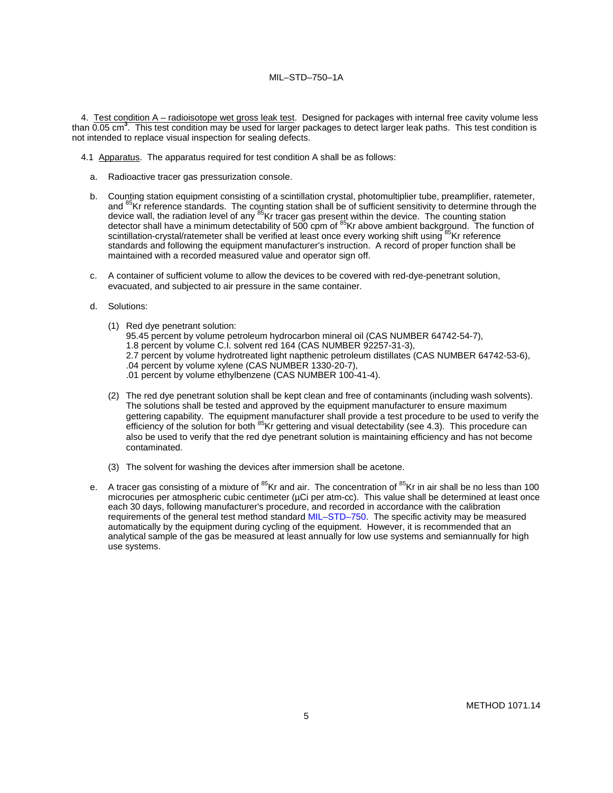4. Test condition A – radioisotope wet gross leak test. Designed for packages with internal free cavity volume less than 0.05 cm**<sup>3</sup>** . This test condition may be used for larger packages to detect larger leak paths. This test condition is not intended to replace visual inspection for sealing defects.

- 4.1 Apparatus. The apparatus required for test condition A shall be as follows:
	- a. Radioactive tracer gas pressurization console.
	- b. Counting station equipment consisting of a scintillation crystal, photomultiplier tube, preamplifier, ratemeter, and <sup>85</sup>Kr reference standards. The counting station shall be of sufficient sensitivity to determine through the device wall, the radiation level of any <sup>85</sup>Kr tracer gas present within the device. The counting station detector shall have a minimum detectability of 500 cpm of <sup>85</sup>Kr above ambient background. The function of scintillation-crystal/ratemeter shall be verified at least once every working shift using <sup>85</sup>Kr reference standards and following the equipment manufacturer's instruction. A record of proper function shall be maintained with a recorded measured value and operator sign off.
	- c. A container of sufficient volume to allow the devices to be covered with red-dye-penetrant solution, evacuated, and subjected to air pressure in the same container.
	- d. Solutions:
		- (1) Red dye penetrant solution: 95.45 percent by volume petroleum hydrocarbon mineral oil (CAS NUMBER 64742-54-7), 1.8 percent by volume C.I. solvent red 164 (CAS NUMBER 92257-31-3), 2.7 percent by volume hydrotreated light napthenic petroleum distillates (CAS NUMBER 64742-53-6), .04 percent by volume xylene (CAS NUMBER 1330-20-7), .01 percent by volume ethylbenzene (CAS NUMBER 100-41-4).
		- (2) The red dye penetrant solution shall be kept clean and free of contaminants (including wash solvents). The solutions shall be tested and approved by the equipment manufacturer to ensure maximum gettering capability. The equipment manufacturer shall provide a test procedure to be used to verify the efficiency of the solution for both  $^{85}$ Kr gettering and visual detectability (see 4.3). This procedure can also be used to verify that the red dye penetrant solution is maintaining efficiency and has not become contaminated.
		- (3) The solvent for washing the devices after immersion shall be acetone.
	- e. A tracer gas consisting of a mixture of <sup>85</sup>Kr and air. The concentration of <sup>85</sup>Kr in air shall be no less than 100 microcuries per atmospheric cubic centimeter (µCi per atm-cc). This value shall be determined at least once each 30 days, following manufacturer's procedure, and recorded in accordance with the calibration requirements of the general test method standard MIL–STD–750. The specific activity may be measured automatically by the equipment during cycling of the equipment. However, it is recommended that an analytical sample of the gas be measured at least annually for low use systems and semiannually for high use systems.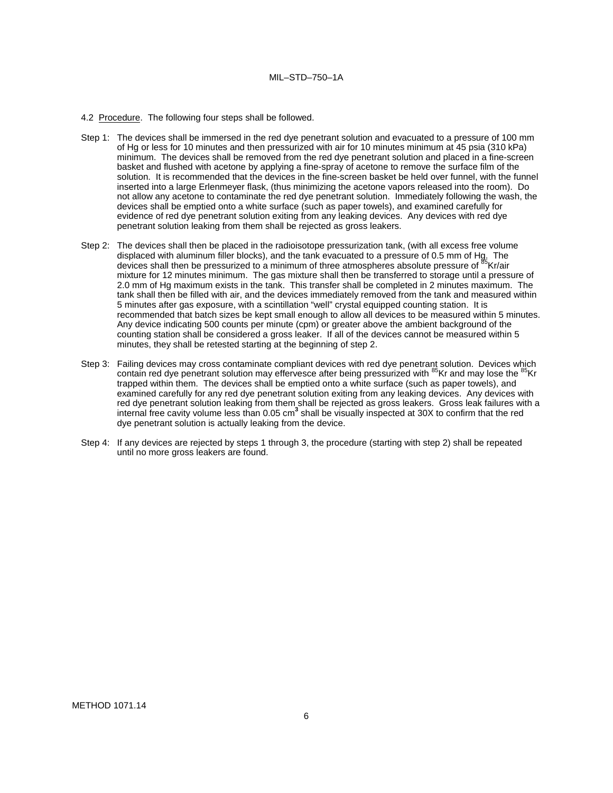- 4.2 Procedure. The following four steps shall be followed.
- Step 1: The devices shall be immersed in the red dye penetrant solution and evacuated to a pressure of 100 mm of Hg or less for 10 minutes and then pressurized with air for 10 minutes minimum at 45 psia (310 kPa) minimum. The devices shall be removed from the red dye penetrant solution and placed in a fine-screen basket and flushed with acetone by applying a fine-spray of acetone to remove the surface film of the solution. It is recommended that the devices in the fine-screen basket be held over funnel, with the funnel inserted into a large Erlenmeyer flask, (thus minimizing the acetone vapors released into the room). Do not allow any acetone to contaminate the red dye penetrant solution. Immediately following the wash, the devices shall be emptied onto a white surface (such as paper towels), and examined carefully for evidence of red dye penetrant solution exiting from any leaking devices. Any devices with red dye penetrant solution leaking from them shall be rejected as gross leakers.
- Step 2: The devices shall then be placed in the radioisotope pressurization tank, (with all excess free volume displaced with aluminum filler blocks), and the tank evacuated to a pressure of 0.5 mm of Hg. The<br>devices shall then be pressurized to a minimum of three atmospheres absolute pressure of <sup>85</sup>Kr/air mixture for 12 minutes minimum. The gas mixture shall then be transferred to storage until a pressure of 2.0 mm of Hg maximum exists in the tank. This transfer shall be completed in 2 minutes maximum. The tank shall then be filled with air, and the devices immediately removed from the tank and measured within 5 minutes after gas exposure, with a scintillation "well" crystal equipped counting station. It is recommended that batch sizes be kept small enough to allow all devices to be measured within 5 minutes. Any device indicating 500 counts per minute (cpm) or greater above the ambient background of the counting station shall be considered a gross leaker. If all of the devices cannot be measured within 5 minutes, they shall be retested starting at the beginning of step 2.
- Step 3: Failing devices may cross contaminate compliant devices with red dye penetrant solution. Devices which contain red dye penetrant solution may effervesce after being pressurized with <sup>85</sup>Kr and may lose the <sup>85</sup>Kr trapped within them. The devices shall be emptied onto a white surface (such as paper towels), and examined carefully for any red dye penetrant solution exiting from any leaking devices. Any devices with red dye penetrant solution leaking from them shall be rejected as gross leakers. Gross leak failures with a internal free cavity volume less than 0.05 cm**<sup>3</sup>** shall be visually inspected at 30X to confirm that the red dye penetrant solution is actually leaking from the device.
- Step 4: If any devices are rejected by steps 1 through 3, the procedure (starting with step 2) shall be repeated until no more gross leakers are found.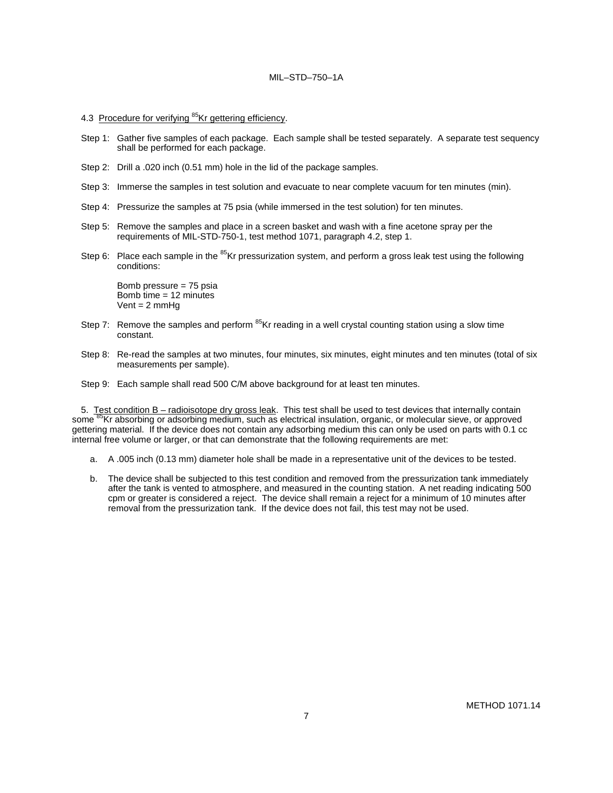- 4.3 Procedure for verifying <sup>85</sup>Kr gettering efficiency.
- Step 1: Gather five samples of each package. Each sample shall be tested separately. A separate test sequency shall be performed for each package.
- Step 2: Drill a .020 inch (0.51 mm) hole in the lid of the package samples.
- Step 3: Immerse the samples in test solution and evacuate to near complete vacuum for ten minutes (min).
- Step 4: Pressurize the samples at 75 psia (while immersed in the test solution) for ten minutes.
- Step 5: Remove the samples and place in a screen basket and wash with a fine acetone spray per the requirements of MIL-STD-750-1, test method 1071, paragraph 4.2, step 1.
- Step 6: Place each sample in the <sup>85</sup>Kr pressurization system, and perform a gross leak test using the following conditions:

Bomb pressure = 75 psia Bomb time = 12 minutes  $Vent = 2$  mmHq

- Step 7: Remove the samples and perform  $^{85}$ Kr reading in a well crystal counting station using a slow time constant.
- Step 8: Re-read the samples at two minutes, four minutes, six minutes, eight minutes and ten minutes (total of six measurements per sample).
- Step 9: Each sample shall read 500 C/M above background for at least ten minutes.

5. Test condition B – radioisotope dry gross leak. This test shall be used to test devices that internally contain some <sup>85</sup>Kr absorbing or adsorbing medium, such as electrical insulation, organic, or molecular sieve, or approved gettering material. If the device does not contain any adsorbing medium this can only be used on parts with 0.1 cc internal free volume or larger, or that can demonstrate that the following requirements are met:

- a. A .005 inch (0.13 mm) diameter hole shall be made in a representative unit of the devices to be tested.
- b. The device shall be subjected to this test condition and removed from the pressurization tank immediately after the tank is vented to atmosphere, and measured in the counting station. A net reading indicating 500 cpm or greater is considered a reject. The device shall remain a reject for a minimum of 10 minutes after removal from the pressurization tank. If the device does not fail, this test may not be used.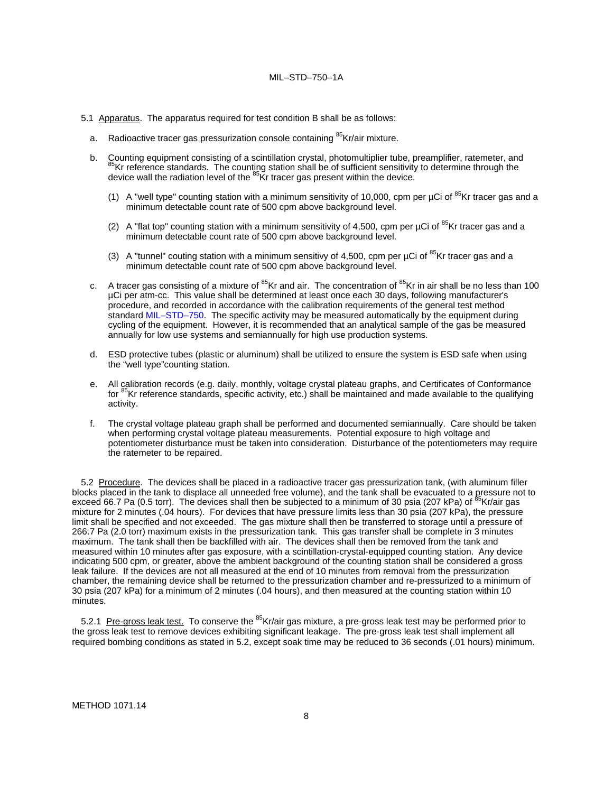- 5.1 Apparatus. The apparatus required for test condition B shall be as follows:
	- a. Radioactive tracer gas pressurization console containing <sup>85</sup>Kr/air mixture.
	- b. Counting equipment consisting of a scintillation crystal, photomultiplier tube, preamplifier, ratemeter, and  ${}^5$ Kr reference standards. The counting station shall be of sufficient sensitivity to determine through the device wall the radiation level of the 85Kr tracer gas present within the device.
		- (1) A "well type" counting station with a minimum sensitivity of 10,000, cpm per  $\mu$ Ci of  $^{85}$ Kr tracer gas and a minimum detectable count rate of 500 cpm above background level.
		- (2) A "flat top" counting station with a minimum sensitivity of 4,500, cpm per  $\mu$ Ci of  $^{85}$ Kr tracer gas and a minimum detectable count rate of 500 cpm above background level.
		- (3) A "tunnel" couting station with a minimum sensitivy of 4,500, cpm per  $\mu$ Ci of  $^{85}$ Kr tracer gas and a minimum detectable count rate of 500 cpm above background level.
	- c. A tracer gas consisting of a mixture of <sup>85</sup>Kr and air. The concentration of <sup>85</sup>Kr in air shall be no less than 100 µCi per atm-cc. This value shall be determined at least once each 30 days, following manufacturer's procedure, and recorded in accordance with the calibration requirements of the general test method standard MIL–STD–750. The specific activity may be measured automatically by the equipment during cycling of the equipment. However, it is recommended that an analytical sample of the gas be measured annually for low use systems and semiannually for high use production systems.
	- d. ESD protective tubes (plastic or aluminum) shall be utilized to ensure the system is ESD safe when using the "well type"counting station.
	- e. All calibration records (e.g. daily, monthly, voltage crystal plateau graphs, and Certificates of Conformance for <sup>85</sup>Kr reference standards, specific activity, etc.) shall be maintained and made available to the qualifying activity.
	- f. The crystal voltage plateau graph shall be performed and documented semiannually. Care should be taken when performing crystal voltage plateau measurements. Potential exposure to high voltage and potentiometer disturbance must be taken into consideration. Disturbance of the potentiometers may require the ratemeter to be repaired.

5.2 Procedure. The devices shall be placed in a radioactive tracer gas pressurization tank, (with aluminum filler blocks placed in the tank to displace all unneeded free volume), and the tank shall be evacuated to a pressure not to<br>exceed 66.7 Pa (0.5 torr). The devices shall then be subjected to a minimum of 30 psia (207 kPa) of <sup>85</sup> mixture for 2 minutes (.04 hours). For devices that have pressure limits less than 30 psia (207 kPa), the pressure limit shall be specified and not exceeded. The gas mixture shall then be transferred to storage until a pressure of 266.7 Pa (2.0 torr) maximum exists in the pressurization tank. This gas transfer shall be complete in 3 minutes maximum. The tank shall then be backfilled with air. The devices shall then be removed from the tank and measured within 10 minutes after gas exposure, with a scintillation-crystal-equipped counting station. Any device indicating 500 cpm, or greater, above the ambient background of the counting station shall be considered a gross leak failure. If the devices are not all measured at the end of 10 minutes from removal from the pressurization chamber, the remaining device shall be returned to the pressurization chamber and re-pressurized to a minimum of 30 psia (207 kPa) for a minimum of 2 minutes (.04 hours), and then measured at the counting station within 10 minutes.

5.2.1 Pre-gross leak test. To conserve the <sup>85</sup>Kr/air gas mixture, a pre-gross leak test may be performed prior to the gross leak test to remove devices exhibiting significant leakage. The pre-gross leak test shall implement all required bombing conditions as stated in 5.2, except soak time may be reduced to 36 seconds (.01 hours) minimum.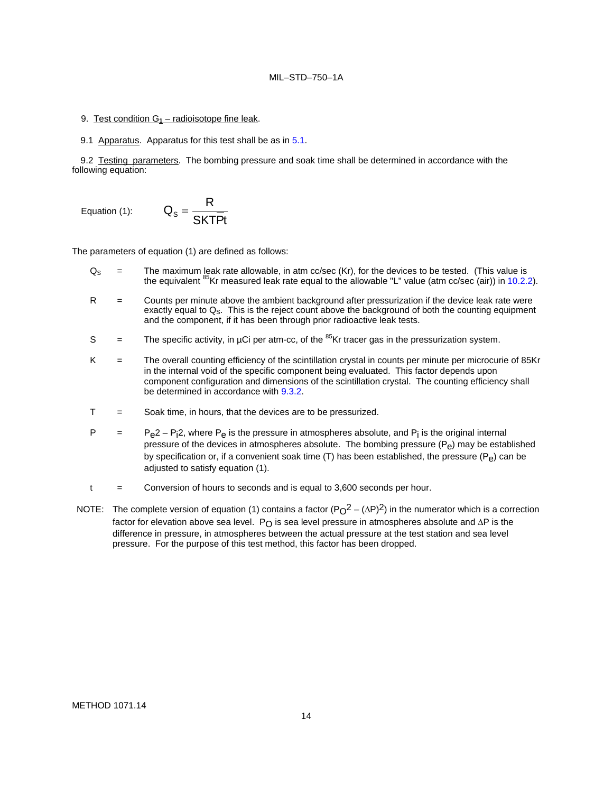- 9. Test condition  $G_1$  radioisotope fine leak.
- 9.1 Apparatus. Apparatus for this test shall be as in 5.1.

9.2 Testing parameters. The bombing pressure and soak time shall be determined in accordance with the following equation:

Equation (1): 
$$
Q_s = \frac{R}{SKT\overline{P}t}
$$

The parameters of equation (1) are defined as follows:

- Q<sub>S</sub> = The maximum leak rate allowable, in atm cc/sec (Kr), for the devices to be tested. (This value is the equivalent  $^{85}$ Kr measured leak rate equal to the allowable "L" value (atm cc/sec (air)) in 10.2.2).
- $R =$  Counts per minute above the ambient background after pressurization if the device leak rate were exactly equal to QS. This is the reject count above the background of both the counting equipment and the component, if it has been through prior radioactive leak tests.
- S  $=$  The specific activity, in  $\mu$ Ci per atm-cc, of the <sup>85</sup>Kr tracer gas in the pressurization system.
- K = The overall counting efficiency of the scintillation crystal in counts per minute per microcurie of 85Kr in the internal void of the specific component being evaluated. This factor depends upon component configuration and dimensions of the scintillation crystal. The counting efficiency shall be determined in accordance with 9.3.2.
- $T =$  Soak time, in hours, that the devices are to be pressurized.
- P  $=$  P<sub>e</sub>2 P<sub>i</sub>2, where P<sub>e</sub> is the pressure in atmospheres absolute, and P<sub>i</sub> is the original internal pressure of the devices in atmospheres absolute. The bombing pressure  $(P_e)$  may be established by specification or, if a convenient soak time (T) has been established, the pressure  $(P_e)$  can be adjusted to satisfy equation (1).
- $t =$  Conversion of hours to seconds and is equal to 3,600 seconds per hour.
- NOTE: The complete version of equation (1) contains a factor (P<sub>O</sub><sup>2</sup> ( $\Delta$ P)<sup>2</sup>) in the numerator which is a correction factor for elevation above sea level. P<sub>O</sub> is sea level pressure in atmospheres absolute and ∆P is the difference in pressure, in atmospheres between the actual pressure at the test station and sea level pressure. For the purpose of this test method, this factor has been dropped.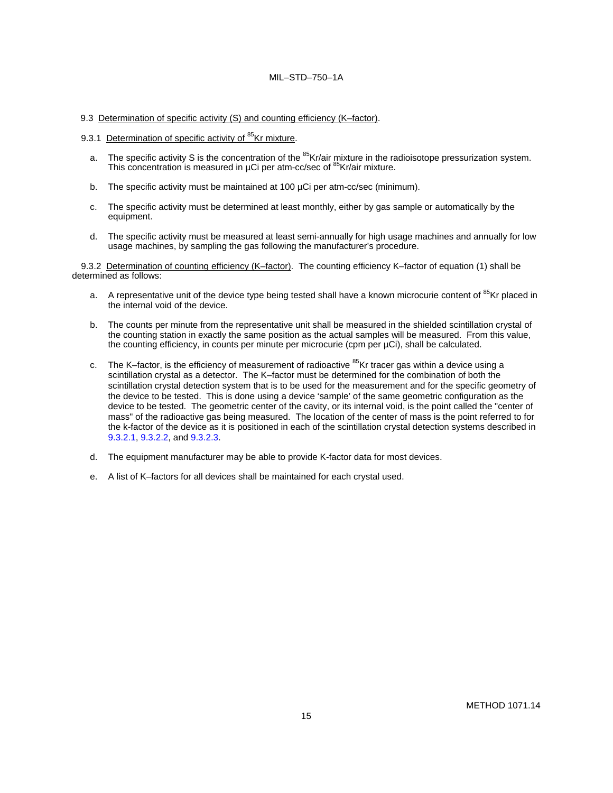# 9.3 Determination of specific activity (S) and counting efficiency (K–factor).

- 9.3.1 Determination of specific activity of <sup>85</sup>Kr mixture.
	- a. The specific activity S is the concentration of the <sup>85</sup>Kr/air mixture in the radioisotope pressurization system. This concentration is measured in µCi per atm-cc/sec of <sup>85</sup>Kr/air mixture.
	- b. The specific activity must be maintained at 100 µCi per atm-cc/sec (minimum).
	- c. The specific activity must be determined at least monthly, either by gas sample or automatically by the equipment.
	- d. The specific activity must be measured at least semi-annually for high usage machines and annually for low usage machines, by sampling the gas following the manufacturer's procedure.

9.3.2 Determination of counting efficiency (K–factor). The counting efficiency K–factor of equation (1) shall be determined as follows:

- a. A representative unit of the device type being tested shall have a known microcurie content of <sup>85</sup>Kr placed in the internal void of the device.
- b. The counts per minute from the representative unit shall be measured in the shielded scintillation crystal of the counting station in exactly the same position as the actual samples will be measured. From this value, the counting efficiency, in counts per minute per microcurie (cpm per µCi), shall be calculated.
- c. The K–factor, is the efficiency of measurement of radioactive  $85$ Kr tracer gas within a device using a scintillation crystal as a detector. The K–factor must be determined for the combination of both the scintillation crystal detection system that is to be used for the measurement and for the specific geometry of the device to be tested. This is done using a device 'sample' of the same geometric configuration as the device to be tested. The geometric center of the cavity, or its internal void, is the point called the "center of mass" of the radioactive gas being measured. The location of the center of mass is the point referred to for the k-factor of the device as it is positioned in each of the scintillation crystal detection systems described in 9.3.2.1, 9.3.2.2, and 9.3.2.3.
- d. The equipment manufacturer may be able to provide K-factor data for most devices.
- e. A list of K–factors for all devices shall be maintained for each crystal used.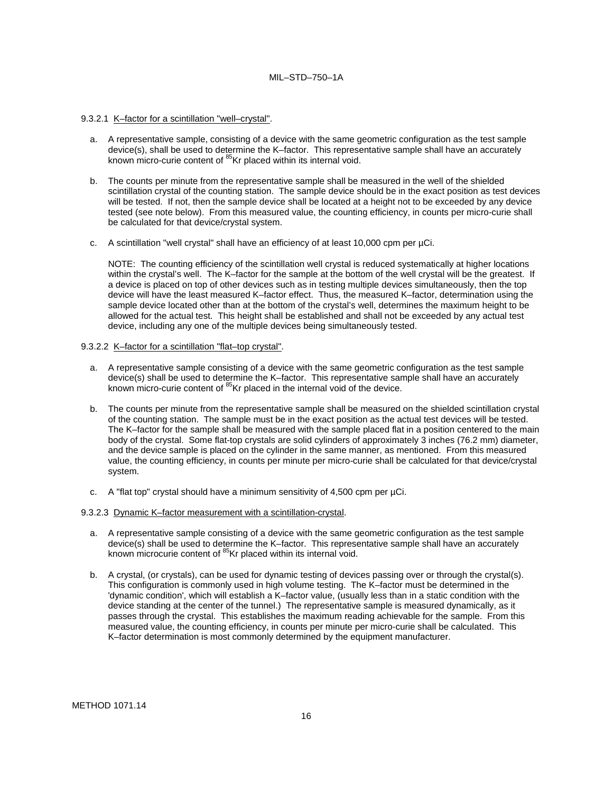#### 9.3.2.1 K–factor for a scintillation "well–crystal".

- a. A representative sample, consisting of a device with the same geometric configuration as the test sample device(s), shall be used to determine the K–factor. This representative sample shall have an accurately known micro-curie content of <sup>85</sup>Kr placed within its internal void.
- b. The counts per minute from the representative sample shall be measured in the well of the shielded scintillation crystal of the counting station. The sample device should be in the exact position as test devices will be tested. If not, then the sample device shall be located at a height not to be exceeded by any device tested (see note below). From this measured value, the counting efficiency, in counts per micro-curie shall be calculated for that device/crystal system.
- c. A scintillation "well crystal" shall have an efficiency of at least 10,000 cpm per µCi.

NOTE: The counting efficiency of the scintillation well crystal is reduced systematically at higher locations within the crystal's well. The K–factor for the sample at the bottom of the well crystal will be the greatest. If a device is placed on top of other devices such as in testing multiple devices simultaneously, then the top device will have the least measured K–factor effect. Thus, the measured K–factor, determination using the sample device located other than at the bottom of the crystal's well, determines the maximum height to be allowed for the actual test. This height shall be established and shall not be exceeded by any actual test device, including any one of the multiple devices being simultaneously tested.

### 9.3.2.2 K–factor for a scintillation "flat–top crystal".

- a. A representative sample consisting of a device with the same geometric configuration as the test sample device(s) shall be used to determine the K–factor. This representative sample shall have an accurately known micro-curie content of <sup>85</sup>Kr placed in the internal void of the device.
- b. The counts per minute from the representative sample shall be measured on the shielded scintillation crystal of the counting station. The sample must be in the exact position as the actual test devices will be tested. The K–factor for the sample shall be measured with the sample placed flat in a position centered to the main body of the crystal. Some flat-top crystals are solid cylinders of approximately 3 inches (76.2 mm) diameter, and the device sample is placed on the cylinder in the same manner, as mentioned. From this measured value, the counting efficiency, in counts per minute per micro-curie shall be calculated for that device/crystal system.
- c. A "flat top" crystal should have a minimum sensitivity of  $4,500$  cpm per  $\mu$ Ci.

#### 9.3.2.3 Dynamic K–factor measurement with a scintillation-crystal.

- a. A representative sample consisting of a device with the same geometric configuration as the test sample device(s) shall be used to determine the K–factor. This representative sample shall have an accurately known microcurie content of <sup>85</sup>Kr placed within its internal void.
- b. A crystal, (or crystals), can be used for dynamic testing of devices passing over or through the crystal(s). This configuration is commonly used in high volume testing. The K–factor must be determined in the 'dynamic condition', which will establish a K–factor value, (usually less than in a static condition with the device standing at the center of the tunnel.) The representative sample is measured dynamically, as it passes through the crystal. This establishes the maximum reading achievable for the sample. From this measured value, the counting efficiency, in counts per minute per micro-curie shall be calculated. This K–factor determination is most commonly determined by the equipment manufacturer.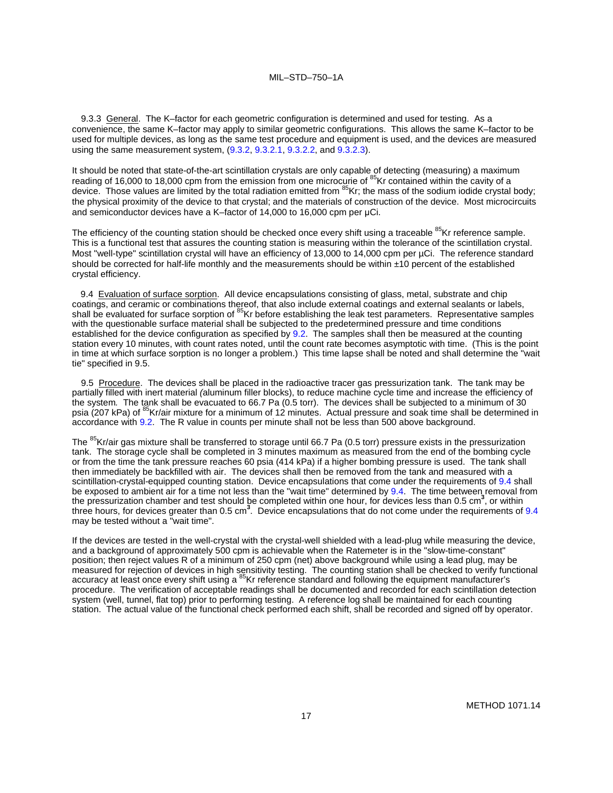9.3.3 General. The K–factor for each geometric configuration is determined and used for testing. As a convenience, the same K–factor may apply to similar geometric configurations. This allows the same K–factor to be used for multiple devices, as long as the same test procedure and equipment is used, and the devices are measured using the same measurement system, (9.3.2, 9.3.2.1, 9.3.2.2, and 9.3.2.3).

It should be noted that state-of-the-art scintillation crystals are only capable of detecting (measuring) a maximum reading of 16,000 to 18,000 cpm from the emission from one microcurie of <sup>85</sup>Kr contained within the cavity of a device. Those values are limited by the total radiation emitted from <sup>85</sup>Kr; the mass of the sodium iodide crystal body; the physical proximity of the device to that crystal; and the materials of construction of the device. Most microcircuits and semiconductor devices have a K–factor of 14,000 to 16,000 cpm per μCi.

The efficiency of the counting station should be checked once every shift using a traceable <sup>85</sup>Kr reference sample. This is a functional test that assures the counting station is measuring within the tolerance of the scintillation crystal. Most "well-type" scintillation crystal will have an efficiency of 13,000 to 14,000 cpm per µCi. The reference standard should be corrected for half-life monthly and the measurements should be within ±10 percent of the established crystal efficiency.

9.4 Evaluation of surface sorption. All device encapsulations consisting of glass, metal, substrate and chip coatings, and ceramic or combinations thereof, that also include external coatings and external sealants or labels, shall be evaluated for surface sorption of 85Kr before establishing the leak test parameters. Representative samples with the questionable surface material shall be subjected to the predetermined pressure and time conditions established for the device configuration as specified by 9.2. The samples shall then be measured at the counting station every 10 minutes, with count rates noted, until the count rate becomes asymptotic with time. (This is the point in time at which surface sorption is no longer a problem.) This time lapse shall be noted and shall determine the "wait tie" specified in 9.5.

9.5 Procedure. The devices shall be placed in the radioactive tracer gas pressurization tank. The tank may be partially filled with inert material *(*aluminum filler blocks), to reduce machine cycle time and increase the efficiency of the system*.* The tank shall be evacuated to 66.7 Pa (0.5 torr). The devices shall be subjected to a minimum of 30 psia (207 kPa) of <sup>85</sup>Kr/air mixture for a minimum of 12 minutes. Actual pressure and soak time shall be determined in accordance with 9.2. The R value in counts per minute shall not be less than 500 above background.

The <sup>85</sup>Kr/air gas mixture shall be transferred to storage until 66.7 Pa (0.5 torr) pressure exists in the pressurization tank. The storage cycle shall be completed in 3 minutes maximum as measured from the end of the bombing cycle or from the time the tank pressure reaches 60 psia (414 kPa) if a higher bombing pressure is used. The tank shall then immediately be backfilled with air. The devices shall then be removed from the tank and measured with a scintillation-crystal-equipped counting station. Device encapsulations that come under the requirements of 9.4 shall be exposed to ambient air for a time not less than the "wait time" determined by 9.4. The time between removal from the pressurization chamber and test should be completed within one hour, for devices less than 0.5 cm<sup>3</sup>, or within three hours, for devices greater than 0.5 cm<sup>3</sup>. Device encapsulations that do not come under the requirements of 9.4 may be tested without a "wait time".

If the devices are tested in the well-crystal with the crystal-well shielded with a lead-plug while measuring the device, and a background of approximately 500 cpm is achievable when the Ratemeter is in the "slow-time-constant" position; then reject values R of a minimum of 250 cpm (net) above background while using a lead plug, may be measured for rejection of devices in high sensitivity testing. The counting station shall be checked to verify functional<br>accuracy at least once every shift using a <sup>85</sup>Kr reference standard and following the equipment ma procedure. The verification of acceptable readings shall be documented and recorded for each scintillation detection system (well, tunnel, flat top) prior to performing testing. A reference log shall be maintained for each counting station. The actual value of the functional check performed each shift, shall be recorded and signed off by operator.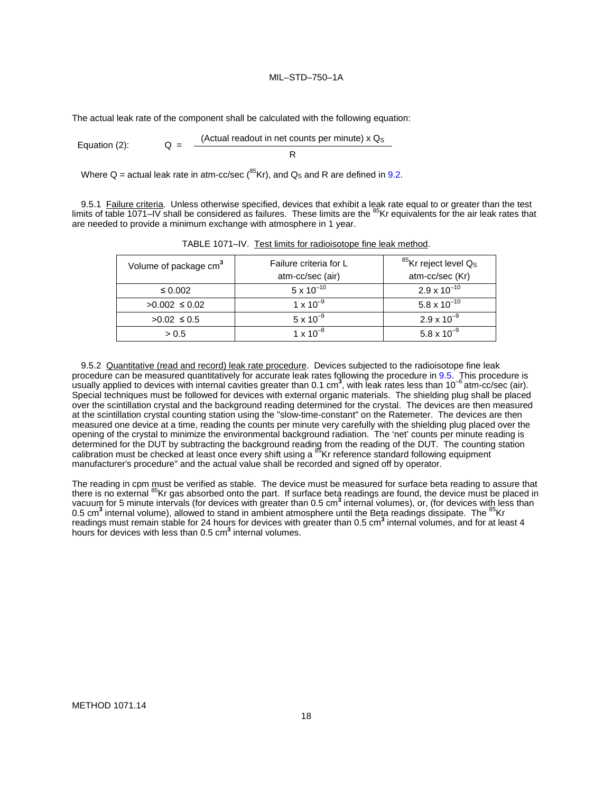The actual leak rate of the component shall be calculated with the following equation:

Equation (2): 
$$
Q = \frac{(Actual \text{ readout in net counts per minute}) \times Q_S}{R}
$$

Where Q = actual leak rate in atm-cc/sec ( $^{85}$ Kr), and Q<sub>s</sub> and R are defined in 9.2.

9.5.1 Failure criteria. Unless otherwise specified, devices that exhibit a leak rate equal to or greater than the test limits of table 1071–IV shall be considered as failures. These limits are the  $^{85}$ Kr equivalents for the air leak rates that are needed to provide a minimum exchange with atmosphere in 1 year.

| Volume of package cm <sup>3</sup> | Failure criteria for L | $^{85}$ Kr reject level Qs |  |  |
|-----------------------------------|------------------------|----------------------------|--|--|
|                                   | atm-cc/sec (air)       | atm-cc/sec (Kr)            |  |  |
| $\leq 0.002$                      | $5 \times 10^{-10}$    | $2.9 \times 10^{-10}$      |  |  |
| $>0.002 \le 0.02$                 | $1 \times 10^{-9}$     | $5.8 \times 10^{-10}$      |  |  |
| $>0.02 \le 0.5$                   | $5 \times 10^{-9}$     | $2.9 \times 10^{-9}$       |  |  |
| > 0.5                             | $1 \times 10^{-8}$     | $5.8 \times 10^{-9}$       |  |  |
|                                   |                        |                            |  |  |

TABLE 1071–IV. Test limits for radioisotope fine leak method.

9.5.2 Quantitative (read and record) leak rate procedure. Devices subjected to the radioisotope fine leak procedure can be measured quantitatively for accurate leak rates following the procedure in 9.5. This procedure is<br>usually applied to devices with internal cavities greater than 0.1 cm<sup>3</sup>, with leak rates less than 10<sup>–6</sup> Special techniques must be followed for devices with external organic materials. The shielding plug shall be placed over the scintillation crystal and the background reading determined for the crystal. The devices are then measured at the scintillation crystal counting station using the "slow-time-constant" on the Ratemeter. The devices are then measured one device at a time, reading the counts per minute very carefully with the shielding plug placed over the opening of the crystal to minimize the environmental background radiation. The 'net' counts per minute reading is determined for the DUT by subtracting the background reading from the reading of the DUT. The counting station<br>calibration must be checked at least once every shift using a <sup>85</sup>Kr reference standard following equipment manufacturer's procedure" and the actual value shall be recorded and signed off by operator.

The reading in cpm must be verified as stable. The device must be measured for surface beta reading to assure that there is no external <sup>85</sup>Kr gas absorbed onto the part. If surface beta readings are found, the device must be placed in vacuum for 5 minute intervals (for devices with greater than 0.5 cm**<sup>3</sup>** internal volumes), or, (for devices with less than 0.5 cm<sup>3</sup> internal volume), allowed to stand in ambient atmosphere until the Beta readings dissipate. The <sup>85</sup>Kr readings must remain stable for 24 hours for devices with greater than 0.5 cm**<sup>3</sup>** internal volumes, and for at least 4 hours for devices with less than 0.5 cm**<sup>3</sup>** internal volumes.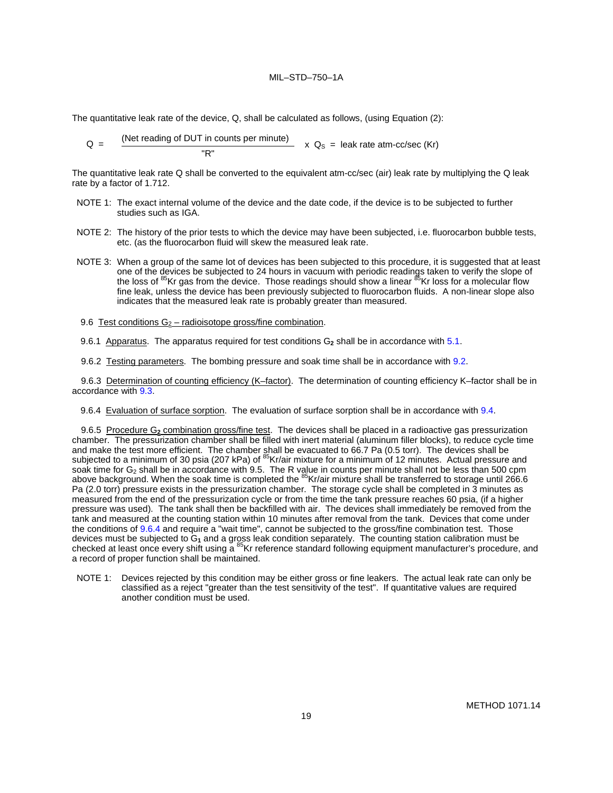The quantitative leak rate of the device, Q, shall be calculated as follows, (using Equation (2):

$$
Q = \frac{(Net reading of DUT in counts per minute)}{{}^{\circ}R^{\circ}}
$$
 x  $Q_S$  = leak rate atm-cc/sec (Kr)

The quantitative leak rate Q shall be converted to the equivalent atm-cc/sec (air) leak rate by multiplying the Q leak rate by a factor of 1.712.

- NOTE 1: The exact internal volume of the device and the date code, if the device is to be subjected to further studies such as IGA.
- NOTE 2: The history of the prior tests to which the device may have been subjected, i.e. fluorocarbon bubble tests, etc. (as the fluorocarbon fluid will skew the measured leak rate.
- NOTE 3: When a group of the same lot of devices has been subjected to this procedure, it is suggested that at least one of the devices be subjected to 24 hours in vacuum with periodic readings taken to verify the slope of<br>the loss of <sup>85</sup>Kr gas from the device. Those readings should show a linear <sup>85</sup>Kr loss for a molecular flow fine leak, unless the device has been previously subjected to fluorocarbon fluids. A non-linear slope also indicates that the measured leak rate is probably greater than measured.
- 9.6 Test conditions  $G_2$  radioisotope gross/fine combination.
- 9.6.1 Apparatus. The apparatus required for test conditions G**<sup>2</sup>** shall be in accordance with 5.1.
- 9.6.2 Testing parameters. The bombing pressure and soak time shall be in accordance with 9.2.

9.6.3 Determination of counting efficiency (K–factor). The determination of counting efficiency K–factor shall be in accordance with 9.3.

9.6.4 Evaluation of surface sorption. The evaluation of surface sorption shall be in accordance with 9.4.

9.6.5 Procedure G**<sup>2</sup>** combination gross/fine test. The devices shall be placed in a radioactive gas pressurization chamber. The pressurization chamber shall be filled with inert material (aluminum filler blocks), to reduce cycle time and make the test more efficient. The chamber shall be evacuated to 66.7 Pa (0.5 torr). The devices shall be<br>subjected to a minimum of 30 psia (207 kPa) of <sup>85</sup>Kr/air mixture for a minimum of 12 minutes. Actual pressure soak time for G<sub>2</sub> shall be in accordance with 9.5. The R value in counts per minute shall not be less than 500 cpm above background. When the soak time is completed the <sup>85</sup>Kr/air mixture shall be transferred to storage until 266.6 Pa (2.0 torr) pressure exists in the pressurization chamber. The storage cycle shall be completed in 3 minutes as measured from the end of the pressurization cycle or from the time the tank pressure reaches 60 psia, (if a higher pressure was used). The tank shall then be backfilled with air. The devices shall immediately be removed from the tank and measured at the counting station within 10 minutes after removal from the tank. Devices that come under the conditions of 9.6.4 and require a "wait time", cannot be subjected to the gross/fine combination test. Those devices must be subjected to G<sub>1</sub> and a gross leak condition separately. The counting station calibration must be<br>checked at least once every shift using a <sup>85</sup>Kr reference standard following equipment manufacturer's proc a record of proper function shall be maintained.

NOTE 1: Devices rejected by this condition may be either gross or fine leakers. The actual leak rate can only be classified as a reject "greater than the test sensitivity of the test". If quantitative values are required another condition must be used.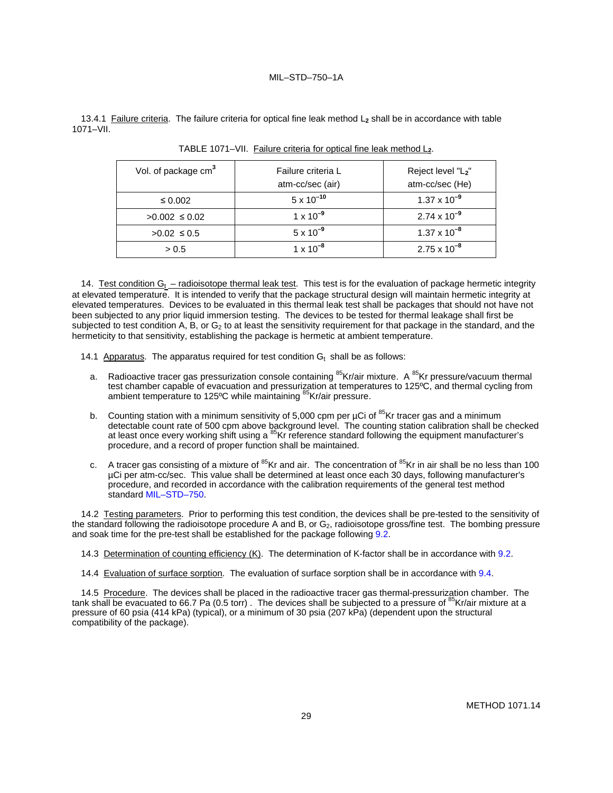13.4.1 Failure criteria. The failure criteria for optical fine leak method L**<sup>2</sup>** shall be in accordance with table 1071–VII.

| Vol. of package cm <sup>3</sup> | Failure criteria L<br>atm-cc/sec (air) | Reject level "L <sub>2</sub> "<br>atm-cc/sec (He) |  |  |  |
|---------------------------------|----------------------------------------|---------------------------------------------------|--|--|--|
| $\leq 0.002$                    | $5 \times 10^{-10}$                    | $1.37 \times 10^{-9}$                             |  |  |  |
| $>0.002 \le 0.02$               | $1 \times 10^{-9}$                     | $2.74 \times 10^{-9}$                             |  |  |  |
| $>0.02 \le 0.5$                 | $5 \times 10^{-9}$                     | $1.37 \times 10^{-8}$                             |  |  |  |
| > 0.5                           | $1 \times 10^{-8}$                     | $2.75 \times 10^{-8}$                             |  |  |  |

| TABLE 1071-VII. Failure criteria for optical fine leak method L2. |  |  |  |  |
|-------------------------------------------------------------------|--|--|--|--|
|                                                                   |  |  |  |  |

14. Test condition  $G_t$  – radioisotope thermal leak test. This test is for the evaluation of package hermetic integrity at elevated temperature. It is intended to verify that the package structural design will maintain hermetic integrity at elevated temperatures. Devices to be evaluated in this thermal leak test shall be packages that should not have not been subjected to any prior liquid immersion testing. The devices to be tested for thermal leakage shall first be subjected to test condition A, B, or G<sub>2</sub> to at least the sensitivity requirement for that package in the standard, and the hermeticity to that sensitivity, establishing the package is hermetic at ambient temperature.

- 14.1 Apparatus. The apparatus required for test condition  $G_t$  shall be as follows:
	- a. Radioactive tracer gas pressurization console containing <sup>85</sup>Kr/air mixture. A <sup>85</sup>Kr pressure/vacuum thermal test chamber capable of evacuation and pressurization at temperatures to 125ºC, and thermal cycling from<br>ambient temperature to 125ºC while maintaining <sup>85</sup>Kr/air pressure.
	- b. Counting station with a minimum sensitivity of 5,000 cpm per  $\mu$ Ci of <sup>85</sup>Kr tracer gas and a minimum detectable count rate of 500 cpm above background level. The counting station calibration shall be checked at least once every working shift using a <sup>85</sup>Kr reference standard following the equipment manufacturer's procedure, and a record of proper function shall be maintained.
	- c. A tracer gas consisting of a mixture of <sup>85</sup>Kr and air. The concentration of <sup>85</sup>Kr in air shall be no less than 100 µCi per atm-cc/sec. This value shall be determined at least once each 30 days, following manufacturer's procedure, and recorded in accordance with the calibration requirements of the general test method standard MIL–STD–750.

14.2 Testing parameters. Prior to performing this test condition, the devices shall be pre-tested to the sensitivity of the standard following the radioisotope procedure A and B, or G<sub>2</sub>, radioisotope gross/fine test. The bombing pressure and soak time for the pre-test shall be established for the package following 9.2.

- 14.3 Determination of counting efficiency (K). The determination of K-factor shall be in accordance with 9.2.
- 14.4 Evaluation of surface sorption. The evaluation of surface sorption shall be in accordance with 9.4.

14.5 Procedure. The devices shall be placed in the radioactive tracer gas thermal-pressurization chamber. The tank shall be evacuated to 66.7 Pa (0.5 torr). The devices shall be subjected to a pressure of <sup>85</sup>Kr/air mixture at a pressure of 60 psia (414 kPa) (typical), or a minimum of 30 psia (207 kPa) (dependent upon the structural compatibility of the package).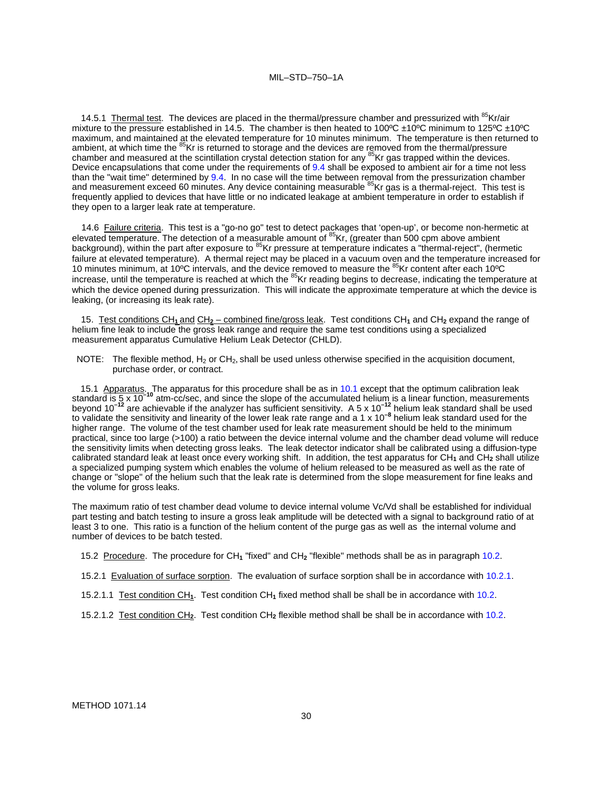14.5.1 Thermal test. The devices are placed in the thermal/pressure chamber and pressurized with <sup>85</sup>Kr/air mixture to the pressure established in 14.5. The chamber is then heated to 100°C ±10°C minimum to 125°C ±10°C maximum, and maintained at the elevated temperature for 10 minutes minimum. The temperature is then returned to<br>ambient, at which time the <sup>85</sup>Kr is returned to storage and the devices are r<u>e</u>moved from the thermal/press chamber and measured at the scintillation crystal detection station for any <sup>85</sup>Kr gas trapped within the devices. Device encapsulations that come under the requirements of 9.4 shall be exposed to ambient air for a time not less than the "wait time" determined by 9.4. In no case will the time between removal from the pressurization chamber and measurement exceed 60 minutes. Any device containing measurable <sup>85</sup>Kr gas is a thermal-reject. This test is frequently applied to devices that have little or no indicated leakage at ambient temperature in order to establish if they open to a larger leak rate at temperature.

14.6 Failure criteria. This test is a "go-no go" test to detect packages that 'open-up', or become non-hermetic at elevated temperature. The detection of a measurable amount of <sup>85</sup>Kr, (greater than 500 cpm above ambient background), within the part after exposure to 85Kr pressure at temperature indicates a "thermal-reject", (hermetic failure at elevated temperature). A thermal reject may be placed in a vacuum oven and the temperature increased for 10 minutes minimum, at 10°C intervals, and the device removed to measure the <sup>85</sup>Kr content after each 10°C increase, until the temperature is reached at which the <sup>85</sup>Kr reading begins to decrease, indicating the temperature at which the device opened during pressurization. This will indicate the approximate temperature at which the device is leaking, (or increasing its leak rate).

15. Test conditions CH**<sup>1</sup>** and CH**<sup>2</sup>** – combined fine/gross leak. Test conditions CH**<sup>1</sup>** and CH**<sup>2</sup>** expand the range of helium fine leak to include the gross leak range and require the same test conditions using a specialized measurement apparatus Cumulative Helium Leak Detector (CHLD).

NOTE: The flexible method,  $H_2$  or CH<sub>2</sub>, shall be used unless otherwise specified in the acquisition document, purchase order, or contract.

15.1 Apparatus. The apparatus for this procedure shall be as in 10.1 except that the optimum calibration leak<br>standard is 5 x 10<sup>-10</sup> atm-cc/sec, and since the slope of the accumulated helium is a linear function, measure beyond 10**–12** are achievable if the analyzer has sufficient sensitivity. A 5 x 10**–12** helium leak standard shall be used to validate the sensitivity and linearity of the lower leak rate range and a 1 x 10**–8** helium leak standard used for the higher range. The volume of the test chamber used for leak rate measurement should be held to the minimum practical, since too large (>100) a ratio between the device internal volume and the chamber dead volume will reduce the sensitivity limits when detecting gross leaks. The leak detector indicator shall be calibrated using a diffusion-type calibrated standard leak at least once every working shift. In addition, the test apparatus for CH**<sup>1</sup>** and CH**<sup>2</sup>** shall utilize a specialized pumping system which enables the volume of helium released to be measured as well as the rate of change or "slope" of the helium such that the leak rate is determined from the slope measurement for fine leaks and the volume for gross leaks.

The maximum ratio of test chamber dead volume to device internal volume Vc/Vd shall be established for individual part testing and batch testing to insure a gross leak amplitude will be detected with a signal to background ratio of at least 3 to one. This ratio is a function of the helium content of the purge gas as well as the internal volume and number of devices to be batch tested.

- 15.2 Procedure. The procedure for CH**<sup>1</sup>** "fixed" and CH**<sup>2</sup>** "flexible" methods shall be as in paragraph 10.2.
- 15.2.1 Evaluation of surface sorption. The evaluation of surface sorption shall be in accordance with 10.2.1.
- 15.2.1.1 Test condition CH**1**. Test condition CH**<sup>1</sup>** fixed method shall be shall be in accordance with 10.2.
- 15.2.1.2 Test condition CH**2**. Test condition CH**<sup>2</sup>** flexible method shall be shall be in accordance with 10.2.